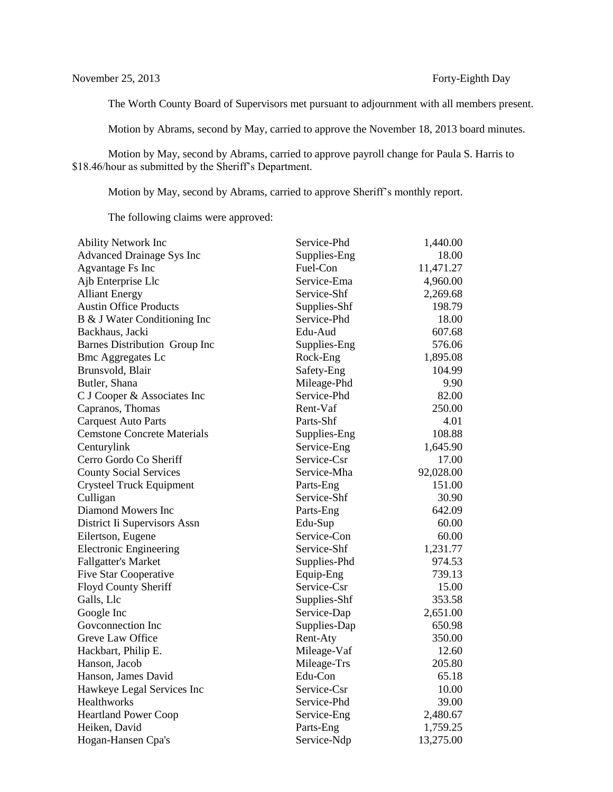The Worth County Board of Supervisors met pursuant to adjournment with all members present.

Motion by Abrams, second by May, carried to approve the November 18, 2013 board minutes.

Motion by May, second by Abrams, carried to approve payroll change for Paula S. Harris to \$18.46/hour as submitted by the Sheriff's Department.

Motion by May, second by Abrams, carried to approve Sheriff's monthly report.

The following claims were approved:

| <b>Ability Network Inc</b>         | Service-Phd  | 1,440.00  |
|------------------------------------|--------------|-----------|
| <b>Advanced Drainage Sys Inc</b>   | Supplies-Eng | 18.00     |
| <b>Agvantage Fs Inc</b>            | Fuel-Con     | 11,471.27 |
| Ajb Enterprise Llc                 | Service-Ema  | 4,960.00  |
| <b>Alliant Energy</b>              | Service-Shf  | 2,269.68  |
| <b>Austin Office Products</b>      | Supplies-Shf | 198.79    |
| B & J Water Conditioning Inc       | Service-Phd  | 18.00     |
| Backhaus, Jacki                    | Edu-Aud      | 607.68    |
| Barnes Distribution Group Inc      | Supplies-Eng | 576.06    |
| <b>Bmc Aggregates Lc</b>           | Rock-Eng     | 1,895.08  |
| Brunsvold, Blair                   | Safety-Eng   | 104.99    |
| Butler, Shana                      | Mileage-Phd  | 9.90      |
| C J Cooper & Associates Inc        | Service-Phd  | 82.00     |
| Capranos, Thomas                   | Rent-Vaf     | 250.00    |
| <b>Carquest Auto Parts</b>         | Parts-Shf    | 4.01      |
| <b>Cemstone Concrete Materials</b> | Supplies-Eng | 108.88    |
| Centurylink                        | Service-Eng  | 1,645.90  |
| Cerro Gordo Co Sheriff             | Service-Csr  | 17.00     |
| <b>County Social Services</b>      | Service-Mha  | 92,028.00 |
| <b>Crysteel Truck Equipment</b>    | Parts-Eng    | 151.00    |
| Culligan                           | Service-Shf  | 30.90     |
| Diamond Mowers Inc                 | Parts-Eng    | 642.09    |
| District Ii Supervisors Assn       | Edu-Sup      | 60.00     |
| Eilertson, Eugene                  | Service-Con  | 60.00     |
| <b>Electronic Engineering</b>      | Service-Shf  | 1,231.77  |
| <b>Fallgatter's Market</b>         | Supplies-Phd | 974.53    |
| <b>Five Star Cooperative</b>       | Equip-Eng    | 739.13    |
| Floyd County Sheriff               | Service-Csr  | 15.00     |
| Galls, Llc                         | Supplies-Shf | 353.58    |
| Google Inc                         | Service-Dap  | 2,651.00  |
| Govconnection Inc                  | Supplies-Dap | 650.98    |
| Greve Law Office                   | Rent-Aty     | 350.00    |
| Hackbart, Philip E.                | Mileage-Vaf  | 12.60     |
| Hanson, Jacob                      | Mileage-Trs  | 205.80    |
| Hanson, James David                | Edu-Con      | 65.18     |
| Hawkeye Legal Services Inc         | Service-Csr  | 10.00     |
| Healthworks                        | Service-Phd  | 39.00     |
| <b>Heartland Power Coop</b>        | Service-Eng  | 2,480.67  |
| Heiken, David                      | Parts-Eng    | 1,759.25  |
| Hogan-Hansen Cpa's                 | Service-Ndp  | 13,275.00 |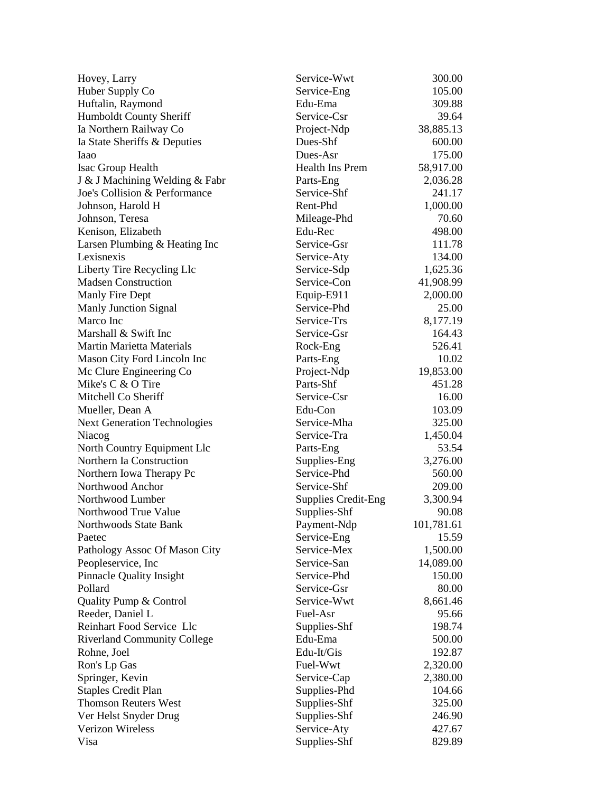| Hovey, Larry                        | Service-Wwt                | 300.00     |
|-------------------------------------|----------------------------|------------|
| Huber Supply Co                     | Service-Eng                | 105.00     |
| Huftalin, Raymond                   | Edu-Ema                    | 309.88     |
| Humboldt County Sheriff             | Service-Csr                | 39.64      |
| Ia Northern Railway Co              | Project-Ndp                | 38,885.13  |
| Ia State Sheriffs & Deputies        | Dues-Shf                   | 600.00     |
| Iaao                                | Dues-Asr                   | 175.00     |
| Isac Group Health                   | Health Ins Prem            | 58,917.00  |
| J & J Machining Welding & Fabr      | Parts-Eng                  | 2,036.28   |
| Joe's Collision & Performance       | Service-Shf                | 241.17     |
| Johnson, Harold H                   | Rent-Phd                   | 1,000.00   |
| Johnson, Teresa                     | Mileage-Phd                | 70.60      |
| Kenison, Elizabeth                  | Edu-Rec                    | 498.00     |
| Larsen Plumbing & Heating Inc       | Service-Gsr                | 111.78     |
| Lexisnexis                          | Service-Aty                | 134.00     |
| Liberty Tire Recycling Llc          | Service-Sdp                | 1,625.36   |
| <b>Madsen Construction</b>          | Service-Con                | 41,908.99  |
| Manly Fire Dept                     | Equip-E911                 | 2,000.00   |
| <b>Manly Junction Signal</b>        | Service-Phd                | 25.00      |
| Marco Inc                           | Service-Trs                | 8,177.19   |
| Marshall & Swift Inc                | Service-Gsr                | 164.43     |
| <b>Martin Marietta Materials</b>    | Rock-Eng                   | 526.41     |
| Mason City Ford Lincoln Inc         | Parts-Eng                  | 10.02      |
| Mc Clure Engineering Co             | Project-Ndp                | 19,853.00  |
| Mike's C & O Tire                   | Parts-Shf                  | 451.28     |
| Mitchell Co Sheriff                 | Service-Csr                | 16.00      |
| Mueller, Dean A                     | Edu-Con                    | 103.09     |
| <b>Next Generation Technologies</b> | Service-Mha                | 325.00     |
| Niacog                              | Service-Tra                | 1,450.04   |
| North Country Equipment Llc         | Parts-Eng                  | 53.54      |
| Northern Ia Construction            | Supplies-Eng               | 3,276.00   |
| Northern Iowa Therapy Pc            | Service-Phd                | 560.00     |
| Northwood Anchor                    | Service-Shf                | 209.00     |
| Northwood Lumber                    | <b>Supplies Credit-Eng</b> | 3,300.94   |
| Northwood True Value                | Supplies-Shf               | 90.08      |
| Northwoods State Bank               | Payment-Ndp                | 101,781.61 |
| Paetec                              | Service-Eng                | 15.59      |
| Pathology Assoc Of Mason City       | Service-Mex                | 1,500.00   |
| Peopleservice, Inc                  | Service-San                | 14,089.00  |
| <b>Pinnacle Quality Insight</b>     | Service-Phd                | 150.00     |
| Pollard                             | Service-Gsr                | 80.00      |
| Quality Pump & Control              | Service-Wwt                | 8,661.46   |
| Reeder, Daniel L                    | Fuel-Asr                   | 95.66      |
| Reinhart Food Service Llc           | Supplies-Shf               | 198.74     |
| <b>Riverland Community College</b>  | Edu-Ema                    | 500.00     |
| Rohne, Joel                         | Edu-It/Gis                 | 192.87     |
| Ron's Lp Gas                        | Fuel-Wwt                   | 2,320.00   |
| Springer, Kevin                     | Service-Cap                | 2,380.00   |
| <b>Staples Credit Plan</b>          | Supplies-Phd               | 104.66     |
| <b>Thomson Reuters West</b>         | Supplies-Shf               | 325.00     |
| Ver Helst Snyder Drug               | Supplies-Shf               | 246.90     |
| <b>Verizon Wireless</b>             | Service-Aty                | 427.67     |
| Visa                                | Supplies-Shf               | 829.89     |
|                                     |                            |            |